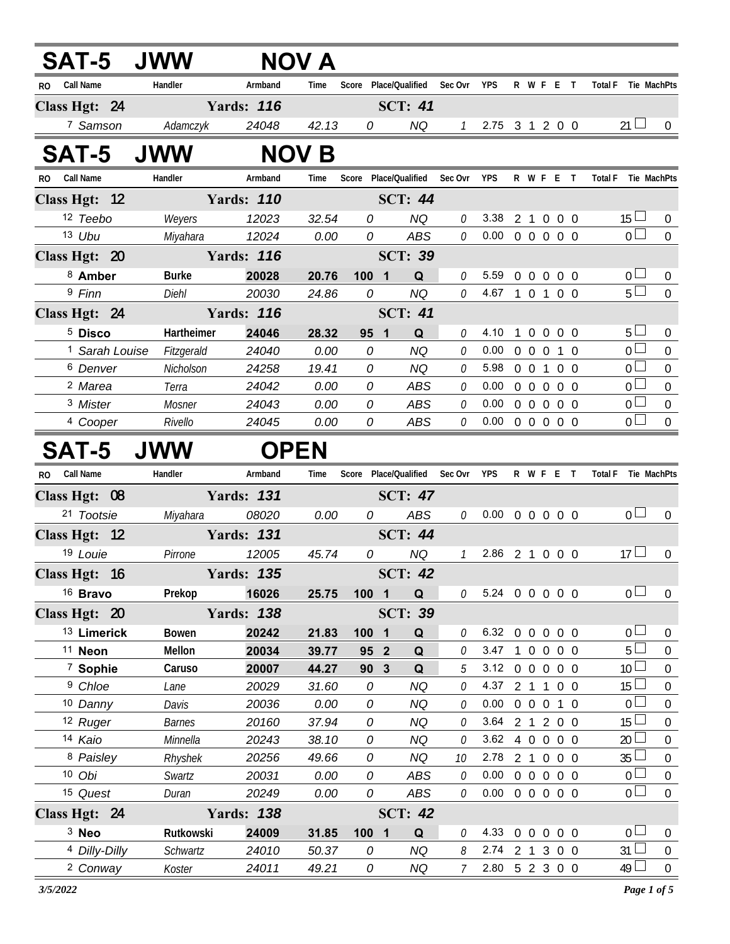| SAT-5 JWW                      |                 |                   | <b>NOV A</b> |                 |                               |               |                                                          |                |            |                     |                                  |                                    |
|--------------------------------|-----------------|-------------------|--------------|-----------------|-------------------------------|---------------|----------------------------------------------------------|----------------|------------|---------------------|----------------------------------|------------------------------------|
| <b>Call Name</b><br>RO.        | Handler         | Armband           | Time         |                 | Score Place/Qualified         | Sec Ovr       | <b>YPS</b>                                               |                | R W F E T  | Total F Tie MachPts |                                  |                                    |
| Class Hgt: 24                  |                 | <b>Yards: 116</b> |              |                 | <b>SCT: 41</b>                |               |                                                          |                |            |                     |                                  |                                    |
| 7 Samson                       | Adamczyk        | 24048             | 42.13        | 0               | <b>NQ</b>                     | $\mathcal{I}$ | 2.75 3 1 2 0 0                                           |                |            |                     | 21 <sup>1</sup>                  |                                    |
| <b>SAT-5</b>                   | <b>JWW</b>      |                   | <b>NOV B</b> |                 |                               |               |                                                          |                |            |                     |                                  |                                    |
| <b>Call Name</b><br>RO.        | Handler         | Armband           | Time         |                 | Score Place/Qualified Sec Ovr |               | YPS                                                      |                | R W F E T  | Total F Tie MachPts |                                  |                                    |
| Class Hgt: 12                  |                 | <b>Yards: 110</b> |              |                 | <b>SCT: 44</b>                |               |                                                          |                |            |                     |                                  |                                    |
| 12 Teebo                       | Weyers          | 12023             | 32.54        | 0               | <b>NQ</b>                     | 0             | 3.38                                                     |                | 2 1 0 0 0  |                     | $15 \Box$                        | $\overline{0}$                     |
| 13 Ubu                         | Miyahara        | 12024             | 0.00         | $\overline{0}$  | ABS                           | 0             | $0.00 \t0 \t0 \t0 \t0 \t0$                               |                |            |                     | $\overline{0}$                   | $\overline{0}$                     |
| Class Hgt: 20                  |                 | <b>Yards: 116</b> |              |                 | <b>SCT: 39</b>                |               |                                                          |                |            |                     |                                  |                                    |
| 8 Amber                        | <b>Burke</b>    | 20028             | 20.76        | 100 1           | Q                             | 0             | 5.59                                                     |                | 0 0 0 0 0  |                     | 0 <sub>0</sub>                   | $\boldsymbol{0}$                   |
| 9 Finn                         | Diehl           | 20030             | 24.86        | 0               | <b>NQ</b>                     | 0             | 4.67 1 0 1 0 0                                           |                |            |                     | $5\Box$                          | $\overline{0}$                     |
| Class Hgt: 24                  |                 | <b>Yards: 116</b> |              |                 | <b>SCT: 41</b>                |               |                                                          |                |            |                     |                                  |                                    |
| <sup>5</sup> Disco             | Hartheimer      | 24046             | 28.32        | 95 <sub>1</sub> | Q                             | 0             | 4.10                                                     | $\overline{1}$ | 0 0 0 0    |                     | $5 -$                            | $\mathbf 0$                        |
| <sup>1</sup> Sarah Louise      | Fitzgerald      | 24040             | 0.00         | 0               | <b>NQ</b>                     | 0             | 0.00                                                     |                | 0 0 0 1 0  |                     | $\overline{0}$                   | $\mathbf 0$                        |
| <sup>6</sup> Denver            | Nicholson       | 24258             | 19.41        | 0               | <b>NQ</b>                     | 0             | 5.98 0 0 1 0 0                                           |                |            |                     | $\overline{0}$                   | $\mathbf 0$                        |
| <sup>2</sup> Marea<br>3 Mister | Terra<br>Mosner | 24042<br>24043    | 0.00<br>0.00 | 0<br>0          | ABS<br>ABS                    | 0<br>0        | 0.00<br>$0.00 \t0 \t0 \t0 \t0 \t0$                       |                | 0 0 0 0 0  |                     | 0 <sub>1</sub><br>0 <sup>1</sup> | $\boldsymbol{0}$<br>$\overline{0}$ |
| <sup>4</sup> Cooper            | Rivello         | 24045             | 0.00         | 0               | ABS                           | 0             | $0.00 \t0 \t0 \t0 \t0 \t0$                               |                |            |                     | $\overline{0}$                   | $\overline{0}$                     |
|                                |                 |                   |              |                 |                               |               |                                                          |                |            |                     |                                  |                                    |
| <b>SAT-5</b>                   | <b>JWW</b>      | <b>OPEN</b>       |              |                 |                               |               |                                                          |                |            |                     |                                  |                                    |
|                                |                 |                   |              |                 |                               |               |                                                          |                |            |                     |                                  |                                    |
| <b>Call Name</b><br>RO.        | Handler         | Armband           | Time         |                 | Score Place/Qualified Sec Ovr |               | <b>YPS</b>                                               |                | R W F E T  | Total F Tie MachPts |                                  |                                    |
| Class Hgt: 08                  |                 | <b>Yards: 131</b> |              |                 | <b>SCT: 47</b>                |               |                                                          |                |            |                     |                                  |                                    |
| 21 Tootsie                     | Miyahara        | 08020             | 0.00         | 0               | <b>ABS</b>                    | 0             | $0.00 \t0 \t0 \t0 \t0 \t0$                               |                |            |                     | 0 <sub>1</sub>                   | $\overline{0}$                     |
| Class Hgt: 12                  |                 | <b>Yards: 131</b> |              |                 | <b>SCT: 44</b>                |               |                                                          |                |            |                     |                                  |                                    |
| 19 Louie                       | Pirrone         | 12005             | 45.74        | 0               | <b>NQ</b>                     | $\mathcal{I}$ | 2.86 2 1 0 0 0                                           |                |            | 17                  |                                  | $\mathbf 0$                        |
| Class Hgt: 16                  |                 | <b>Yards: 135</b> |              |                 | <b>SCT: 42</b>                |               |                                                          |                |            |                     |                                  |                                    |
| <sup>16</sup> Bravo            | Prekop          | 16026             | 25.75        | 1001            | Q                             | 0             | 5.24 0 0 0 0 0                                           |                |            |                     | $\overline{0}$                   | $\overline{0}$                     |
| Class Hgt: 20                  |                 | <b>Yards: 138</b> |              |                 | <b>SCT: 39</b>                |               |                                                          |                |            |                     |                                  |                                    |
| <sup>13</sup> Limerick         | Bowen           | 20242             | 21.83        | 100 1           | Q                             | 0             | 6.32 0 0 0 0 0                                           |                |            |                     | 0 <sup>1</sup>                   | $\mathbf 0$                        |
| <sup>11</sup> Neon             | Mellon          | 20034             | 39.77        | 95 2            | Q                             | 0             | 3.47                                                     |                | 1 0 0 0 0  |                     | 5 <sup>1</sup>                   | $\boldsymbol{0}$                   |
| <sup>7</sup> Sophie            | Caruso          | 20007             | 44.27        | 90 3            | Q                             | 5             | 3.12 0 0 0 0 0                                           |                |            |                     | 10 <sup>°</sup>                  | $\mathbf 0$                        |
| <sup>9</sup> Chloe             | Lane            | 20029             | 31.60        | 0               | <b>NQ</b>                     | 0             | 4.37 2 1 1 0 0                                           |                |            |                     | 15                               | $\boldsymbol{0}$                   |
| 10 Danny                       | Davis           | 20036             | 0.00         | 0               | <b>NQ</b>                     | 0             | 0.00                                                     |                | 0 0 0 1 0  |                     | $\overline{0}$                   | $\mathbf 0$                        |
| 12 Ruger                       | <b>Barnes</b>   | 20160             | 37.94        | 0               | <b>NQ</b>                     | 0             | 3.64                                                     |                | 2 1 2 0 0  |                     | 15                               | $\boldsymbol{0}$                   |
| 14 Kaio                        | Minnella        | 20243             | 38.10        | 0               | <b>NQ</b>                     | 0             | 3.62 4 0 0 0 0                                           |                |            | 20                  |                                  | $\mathbf 0$                        |
| 8 Paisley                      | Rhyshek         | 20256             | 49.66        | 0               | NQ                            | 10<br>0       | 2.78 2 1 0 0 0                                           |                |            |                     | 35<br>$\overline{0}$             | $\boldsymbol{0}$                   |
| 10 Obi<br>15 Quest             | Swartz<br>Duran | 20031<br>20249    | 0.00<br>0.00 | 0<br>0          | ABS<br>ABS                    | 0             | $0.00 \t0 \t0 \t0 \t0 \t0$<br>$0.00 \t0 \t0 \t0 \t0 \t0$ |                |            |                     | 0 <sub>1</sub>                   | $\mathbf 0$<br>$\mathbf 0$         |
| Class Hgt: 24                  |                 | <b>Yards: 138</b> |              |                 | <b>SCT: 42</b>                |               |                                                          |                |            |                     |                                  |                                    |
| $3$ Neo                        | Rutkowski       | 24009             | 31.85        | 100 1           | Q                             | 0             | 4.33 0 0 0                                               |                | $0\quad 0$ |                     | $\overline{0}$                   | $\boldsymbol{0}$                   |
| <sup>4</sup> Dilly-Dilly       | Schwartz        | 24010             | 50.37        | 0               | NQ                            | 8             | $2.74$ 2 1 3                                             |                | $0\quad 0$ |                     | 31                               | $\boldsymbol{0}$                   |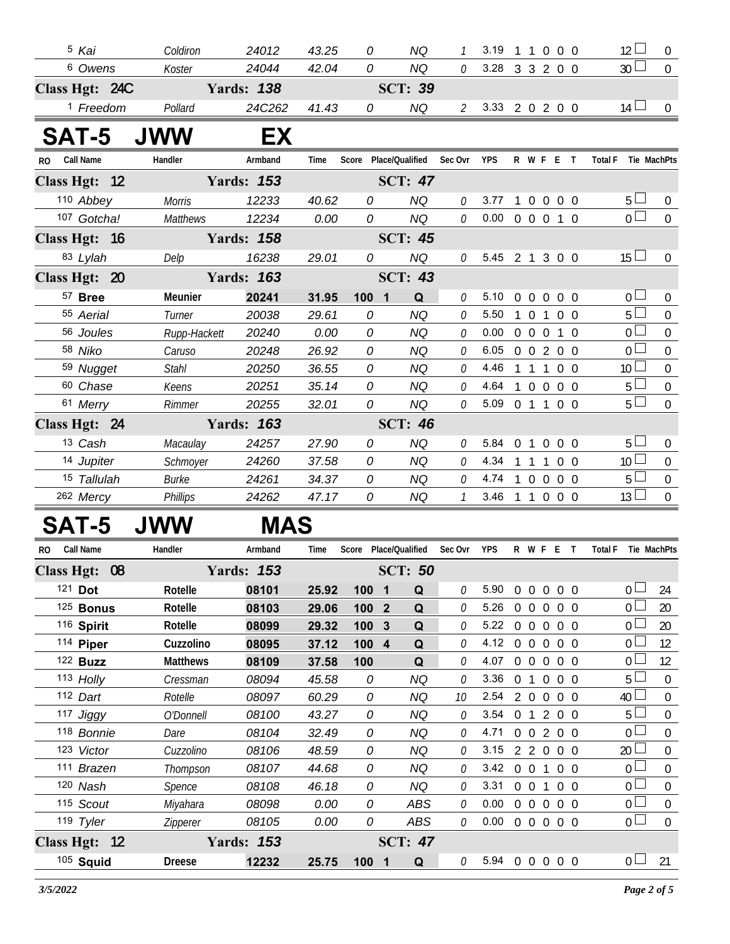| <sup>5</sup> Kai         | Coldiron              | 24012             | 43.25          | 0                              | <b>NQ</b>             |               | 3.19           |                |                   | 1 1 0 0 0      |            | $12 \Box$                         | $\overline{0}$                       |
|--------------------------|-----------------------|-------------------|----------------|--------------------------------|-----------------------|---------------|----------------|----------------|-------------------|----------------|------------|-----------------------------------|--------------------------------------|
| 6 Owens                  | Koster                | 24044             | 42.04          | 0                              | <b>NQ</b>             | 0             | 3.28           |                |                   | 3 3 2 0 0      |            | 30 <sup>1</sup>                   | $\mathbf{0}$                         |
| Class Hgt: 24C           |                       | <b>Yards: 138</b> |                |                                | <b>SCT: 39</b>        |               |                |                |                   |                |            |                                   |                                      |
| <sup>1</sup> Freedom     | Pollard               | 24C262            | 41.43          | 0                              | <b>NQ</b>             | $\mathcal{Z}$ | 3.33 2 0 2 0 0 |                |                   |                |            | $14 \perp$                        | $\Omega$                             |
| SAT-5                    | <b>JWW</b>            | EX                |                |                                |                       |               |                |                |                   |                |            |                                   |                                      |
| Call Name<br>RO.         | Handler               | Armband           | Time           |                                | Score Place/Qualified | Sec Ovr       | <b>YPS</b>     |                |                   | R W F E T      |            | Total F Tie MachPts               |                                      |
| Class Hgt: 12            |                       | <b>Yards: 153</b> |                |                                | <b>SCT: 47</b>        |               |                |                |                   |                |            |                                   |                                      |
| 110 Abbey                | <b>Morris</b>         | 12233             | 40.62          | 0                              | <b>NQ</b>             | 0             | 3.77           | $\mathbf{1}$   |                   | 0 0 0 0        |            | $5+$                              | $\overline{0}$                       |
| 107 Gotcha!              | <b>Matthews</b>       | 12234             | 0.00           | 0                              | <b>NQ</b>             | 0             | 0.00           |                |                   | 0 0 0 1 0      |            | $\overline{0}$                    | $\mathbf{0}$                         |
| Class Hgt: 16            |                       | <b>Yards: 158</b> |                |                                | <b>SCT: 45</b>        |               |                |                |                   |                |            |                                   |                                      |
| 83 Lylah                 | Delp                  | 16238             | 29.01          | 0                              | <b>NQ</b>             | 0             | 5.45           |                |                   | 2 1 3 0 0      |            | 15 <sup>L</sup>                   | $\overline{0}$                       |
| Class Hgt: 20            |                       | <b>Yards: 163</b> |                |                                | <b>SCT: 43</b>        |               |                |                |                   |                |            |                                   |                                      |
| 57 Bree                  | Meunier               | 20241             | 31.95          | $\overline{\mathbf{1}}$<br>100 | Q                     | 0             | 5.10           | $\overline{0}$ | $\overline{0}$    | $\overline{0}$ | $0\quad 0$ | 0 l                               | $\mathbf 0$                          |
| 55 Aerial                | Turner                | 20038             | 29.61          | 0                              | <b>NQ</b>             | 0             | 5.50           |                | $1\quad 0$        | $\mathbf{1}$   | $0\quad 0$ | 5 <sub>1</sub>                    | $\mathbf 0$                          |
| 56 Joules                | Rupp-Hackett          | 20240             | 0.00           | 0                              | <b>NQ</b>             | 0             | 0.00           |                | $0\quad 0\quad 0$ |                | $1\quad0$  | 0 <sup>1</sup>                    | $\boldsymbol{0}$                     |
| 58 Niko                  | Caruso                | 20248             | 26.92          | 0                              | <b>NQ</b>             | 0             | 6.05           |                |                   | 0 0 2 0 0      |            | 0 <sup>1</sup>                    | $\mathbf 0$                          |
| 59 Nugget                | <b>Stahl</b>          | 20250             | 36.55          | 0                              | <b>NQ</b>             | 0             | 4.46           |                | 111               |                | $0\quad 0$ | 10 <sup>1</sup>                   | $\boldsymbol{0}$                     |
| 60 Chase                 | Keens                 | 20251             | 35.14          | 0                              | <b>NQ</b>             | 0             | 4.64           |                | 100               |                | $0\quad 0$ | 5 <sub>1</sub>                    | $\boldsymbol{0}$                     |
| 61 Merry                 | Rimmer                | 20255             | 32.01          | 0                              | <b>NQ</b>             | 0             | 5.09           |                | $0 \t1 \t1$       |                | $0\quad 0$ | 5 <sup>1</sup>                    | $\Omega$                             |
| Class Hgt: 24            |                       | <b>Yards: 163</b> |                |                                | <b>SCT: 46</b>        |               |                |                |                   |                |            |                                   |                                      |
| 13 Cash                  | Macaulay              | 24257             | 27.90          | 0                              | <b>NQ</b>             | 0             | 5.84           | $\overline{0}$ | $\mathbf{1}$      | $\overline{0}$ | $0\quad 0$ | $5^{\perp}$                       | $\overline{0}$                       |
| 14 Jupiter               | Schmoyer              | 24260             | 37.58          | 0                              | <b>NQ</b>             | 0             | 4.34           |                | $1\quad1$         | $\overline{1}$ | $0\quad 0$ | 10 <sup>1</sup>                   | $\overline{0}$                       |
| 15 Tallulah              | Burke                 | 24261             | 34.37          | 0                              | <b>NQ</b>             | 0             | 4.74           |                |                   | 10000          |            | 5 <sub>1</sub>                    | $\mathbf 0$                          |
| 262 Mercy                | Phillips              | 24262             | 47.17          | 0                              | <b>NQ</b>             | $\mathcal{I}$ | 3.46           |                |                   | 1 1 0 0 0      |            | 13 <sup>L</sup>                   | $\mathbf 0$                          |
| <b>SAT-5</b>             | <b>JWW</b>            | <b>MAS</b>        |                |                                |                       |               |                |                |                   |                |            |                                   |                                      |
| <b>Call Name</b><br>RO.  | Handler               | Armband           | Time           |                                | Score Place/Qualified | Sec Ovr       | YPS            |                |                   | R W F E T      |            | Total F Tie MachPts               |                                      |
| Class Hgt: 08            |                       | <b>Yards: 153</b> |                |                                | <b>SCT: 50</b>        |               |                |                |                   |                |            |                                   |                                      |
| 121 Dot                  | Rotelle               | 08101             | 25.92          | 100 1                          | Q                     | 0             | 5.90           | $\overline{0}$ | $\overline{0}$    | $\overline{0}$ | $0\quad 0$ | 0 <sup>1</sup>                    | 24                                   |
| $125$ Bonus              | Rotelle               | 08103             | 29.06          | 100                            | Q<br>$\overline{2}$   | 0             | 5.26           | 0              | $\overline{0}$    | $\mathbf 0$    | $0\quad 0$ | 0 <sup>1</sup>                    | 20                                   |
| 116 Spirit               | Rotelle               | 08099             | 29.32          | 100                            | Q<br>$\mathbf{3}$     | 0             | 5.22           |                | $0\quad 0$        | $\overline{0}$ | $0\quad 0$ | 0 <sup>1</sup>                    | 20                                   |
| 114 Piper                | Cuzzolino             | 08095             | 37.12          | 100 4                          | $\mathbf Q$           | 0             | 4.12           |                | $0\quad 0$        | $\overline{0}$ | $0\quad 0$ | 0 <sup>L</sup>                    | 12                                   |
| 122 <b>Buzz</b>          | <b>Matthews</b>       | 08109             | 37.58          | 100                            | Q                     | 0             | 4.07           | $0\quad 0$     |                   | $\overline{0}$ | $0\quad 0$ | 0 <sup>1</sup>                    | 12                                   |
| 113 Holly                | Cressman              | 08094             | 45.58          | 0                              | NQ                    | 0             | 3.36           |                | 0 <sub>1</sub>    | $\overline{0}$ | $0\quad 0$ | 5 <sup>1</sup>                    | $\boldsymbol{0}$                     |
| 112 Dart                 | Rotelle               | 08097             | 60.29          | 0                              | NQ                    | 10            | 2.54           |                | $2\quad 0$        | $\overline{0}$ | $0\quad 0$ | 40                                | 0                                    |
| 117 Jiggy                | O'Donnell             | 08100             | 43.27          | 0                              | <b>NQ</b>             | 0             | 3.54           |                |                   | 0 1 2 0 0      |            | 5 <sup>1</sup>                    | $\boldsymbol{0}$                     |
| 118 Bonnie               | Dare                  | 08104             | 32.49          | 0                              | <b>NQ</b>             | 0             | 4.71           |                |                   | 0 0 2 0 0      |            | 0 <sup>1</sup>                    | $\boldsymbol{0}$                     |
| 123 Victor<br>111 Brazen | Cuzzolino<br>Thompson | 08106<br>08107    | 48.59<br>44.68 | 0<br>0                         | NQ<br><b>NQ</b>       | 0<br>0        | 3.15<br>3.42   |                | $0 \t0 \t1$       | 22000          | $0\quad 0$ | 20 <sub>2</sub><br>0 <sup>1</sup> | $\boldsymbol{0}$<br>$\boldsymbol{0}$ |
| 120 Nash                 | Spence                | 08108             | 46.18          | 0                              | <b>NQ</b>             | 0             | 3.31           |                | $0 \t0 \t1$       |                | $0\quad 0$ | 0 <sup>1</sup>                    | $\boldsymbol{0}$                     |
| 115 Scout                | Miyahara              | 08098             | 0.00           | 0                              | ABS                   | 0             | 0.00           |                | $0\quad 0\quad 0$ |                | $0\quad 0$ | 0 <sup>1</sup>                    | $\boldsymbol{0}$                     |
| 119 Tyler                | Zipperer              | 08105             | 0.00           | 0                              | ABS                   | 0             | 0.00           |                |                   | 0 0 0 0 0      |            | $0\perp$                          | $\boldsymbol{0}$                     |
| Class Hgt: 12            |                       | <b>Yards: 153</b> |                |                                | <b>SCT: 47</b>        |               |                |                |                   |                |            |                                   |                                      |
| 105 Squid                | <b>Dreese</b>         | 12232             | 25.75          | 100 1                          | Q                     | $\mathcal O$  | 5.94 0 0 0 0 0 |                |                   |                |            | 0 <sub>1</sub>                    | 21                                   |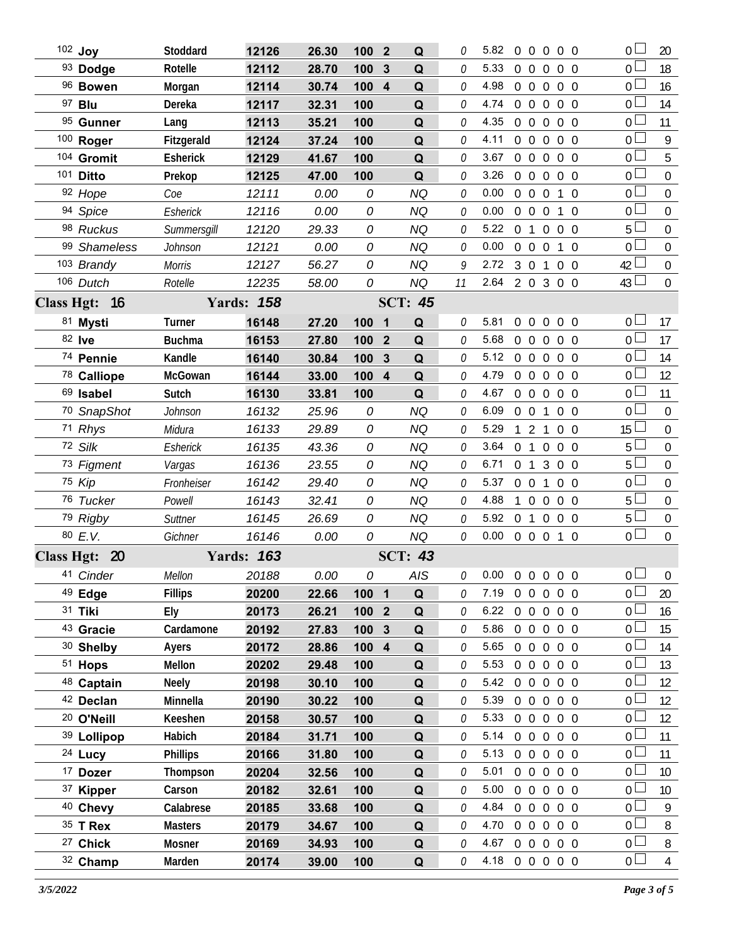| 102 Joy               | Stoddard        | 12126             | 26.30 | 100              | $\overline{\mathbf{2}}$ | Q              | 0  | 5.82           |                |                   |                | 00000             | 0 <sub>1</sub>  | 20               |
|-----------------------|-----------------|-------------------|-------|------------------|-------------------------|----------------|----|----------------|----------------|-------------------|----------------|-------------------|-----------------|------------------|
| 93 Dodge              | Rotelle         | 12112             | 28.70 | 100              | 3                       | Q              | 0  | 5.33           | $0\quad 0$     |                   | $\mathbf 0$    | $0\quad 0$        | 0 <sup>1</sup>  | 18               |
| 96 Bowen              | Morgan          | 12114             | 30.74 | 100              | $\overline{\mathbf{4}}$ | Q              | 0  | 4.98           | $0\quad 0$     |                   | $\overline{0}$ | $0\quad 0$        | 0 <sub>l</sub>  | 16               |
| 97 <b>Blu</b>         | Dereka          | 12117             | 32.31 | 100              |                         | Q              | 0  | 4.74           |                | $0\quad 0\quad 0$ |                | $0\quad 0$        | 0 <sup>1</sup>  | 14               |
| 95 Gunner             | Lang            | 12113             | 35.21 | 100              |                         | Q              | 0  | 4.35           | $0\quad 0$     |                   | $\overline{0}$ | $0\quad 0$        | $0 -$           | 11               |
| 100 Roger             | Fitzgerald      | 12124             | 37.24 | 100              |                         | Q              | 0  | 4.11           |                | $0\quad 0\quad 0$ |                | $0\quad 0$        | 0 <sup>1</sup>  | 9                |
| 104 Gromit            | Esherick        | 12129             | 41.67 | 100              |                         | Q              | 0  | 3.67           | $0\quad 0$     |                   | $\mathbf 0$    | $0\quad 0$        | 0 <sub>0</sub>  | 5                |
| 101 <b>Ditto</b>      | Prekop          | 12125             | 47.00 | 100              |                         | Q              | 0  | 3.26           | $0\quad 0$     |                   | $\mathbf 0$    | $0\quad 0$        | 0 <sup>1</sup>  | $\mathbf 0$      |
| 92 Hope               | Coe             | 12111             | 0.00  | 0                |                         | <b>NQ</b>      | 0  | 0.00           | $0\quad 0$     |                   | $\overline{0}$ | $1\quad0$         | 0 <sub>0</sub>  | 0                |
| 94 Spice              | Esherick        | 12116             | 0.00  | 0                |                         | <b>NQ</b>      | 0  | 0.00           | $0\quad 0$     |                   | $\mathbf 0$    | $1\quad0$         | 0 <sup>1</sup>  | $\mathbf 0$      |
| 98 Ruckus             | Summersgill     | 12120             | 29.33 | 0                |                         | <b>NQ</b>      | 0  | 5.22           | 0 <sub>1</sub> |                   | $\overline{0}$ | $0\quad 0$        | 5 <sup>l</sup>  | 0                |
| 99 Shameless          | Johnson         | 12121             | 0.00  | 0                |                         | <b>NQ</b>      | 0  | 0.00           |                | $0\quad 0\quad 0$ |                | 1 0               | 0 <sup>1</sup>  | $\mathbf 0$      |
| 103 Brandy            | <b>Morris</b>   | 12127             | 56.27 | 0                |                         | <b>NQ</b>      | 9  | 2.72           |                | 3 0 1             |                | $0\quad 0$        | 42 <sup>l</sup> | $\mathbf 0$      |
| 106 Dutch             | Rotelle         | 12235             | 58.00 | 0                |                         | <b>NQ</b>      | 11 | 2.64 2 0 3 0 0 |                |                   |                |                   | $43\Box$        | $\mathbf 0$      |
| Class Hgt: 16         |                 | <b>Yards: 158</b> |       |                  |                         | <b>SCT: 45</b> |    |                |                |                   |                |                   |                 |                  |
| 81 Mysti              | Turner          | 16148             | 27.20 | 100              | $\overline{\mathbf{1}}$ | Q              | 0  | 5.81           | $0\quad 0$     |                   |                | $0\quad 0\quad 0$ | 0 <sub>0</sub>  | 17               |
| 82 lve                | <b>Buchma</b>   | 16153             | 27.80 | 100              | $\overline{2}$          | Q              | 0  | 5.68           |                |                   |                | 0 0 0 0 0         | 0 <sub>1</sub>  | 17               |
| 74 Pennie             | Kandle          | 16140             | 30.84 | 100              | $\mathbf{3}$            | Q              | 0  | 5.12           |                |                   |                | 0 0 0 0 0         | 0 <sub>0</sub>  | 14               |
| 78 Calliope           | McGowan         | 16144             | 33.00 | 100 4            |                         | Q              | 0  | 4.79           |                | $0\quad 0\quad 0$ |                | $0\quad 0$        | 0 <sup>1</sup>  | 12               |
| 69 Isabel             | Sutch           | 16130             | 33.81 | 100              |                         | Q              | 0  | 4.67           | $0\quad 0$     |                   |                | $0\quad 0\quad 0$ | 0 <sub>0</sub>  | 11               |
| 70 SnapShot           | Johnson         | 16132             | 25.96 | 0                |                         | <b>NQ</b>      | 0  | 6.09           | $0\quad 0$     |                   | $\overline{1}$ | $0\quad 0$        | $\overline{0}$  | $\overline{0}$   |
| 71 Rhys               | Midura          | 16133             | 29.89 | 0                |                         | <b>NQ</b>      | 0  | 5.29           |                | 121               |                | $0\quad 0$        | $15\perp$       | $\mathbf 0$      |
| 72 Silk               | Esherick        | 16135             | 43.36 | 0                |                         | <b>NQ</b>      | 0  | 3.64           | 0 <sub>1</sub> |                   | $\overline{0}$ | $0\quad 0$        | 5 <sub>1</sub>  | $\boldsymbol{0}$ |
| 73 Figment            | Vargas          | 16136             | 23.55 | 0                |                         | <b>NQ</b>      | 0  | 6.71           |                |                   |                | 0 1 3 0 0         | 5 <sup>1</sup>  | $\overline{0}$   |
| 75 Kip                | Fronheiser      | 16142             | 29.40 | 0                |                         | <b>NQ</b>      | 0  | 5.37           |                | $0 \t0 \t1$       |                | $0\quad 0$        | $\overline{0}$  | $\boldsymbol{0}$ |
| 76 Tucker             | Powell          | 16143             | 32.41 | 0                |                         | <b>NQ</b>      | 0  | 4.88           |                | $1\quad0$         | $\overline{0}$ | $0\quad 0$        | 5 <sub>1</sub>  | $\mathbf 0$      |
| 79 Rigby              | Suttner         | 16145             | 26.69 | 0                |                         | <b>NQ</b>      | 0  | 5.92           | 0 <sub>1</sub> |                   |                | $0\quad 0\quad 0$ | 5 <sub>1</sub>  | $\boldsymbol{0}$ |
| 80 E.V.               | Gichner         | 16146             | 0.00  | 0                |                         | <b>NQ</b>      | 0  | 0.00           |                | $0\quad 0\quad 0$ |                | $1\quad0$         | $\overline{0}$  | $\overline{0}$   |
| Class Hgt: 20         |                 | <b>Yards: 163</b> |       |                  |                         | <b>SCT: 43</b> |    |                |                |                   |                |                   |                 |                  |
| 41 Cinder             | Mellon          | 20188             | 0.00  | 0                |                         | <b>AIS</b>     |    | 0.000000000    |                |                   |                |                   | $\overline{0}$  | $\overline{0}$   |
| 49 Edge               | <b>Fillips</b>  | 20200             | 22.66 | 100 1            |                         | Q              | 0  | 7.19           |                |                   |                | 0 0 0 0 0         | 0 L             | 20               |
| 31 Tiki               | Ely             | 20173             | 26.21 | 100 <sub>2</sub> |                         | $\mathbf Q$    | 0  | 6.22           |                |                   |                | 0 0 0 0 0         | 0 <sup>1</sup>  | 16               |
| 43 Gracie             | Cardamone       | 20192             | 27.83 | 100              | $\mathbf{3}$            | Q              | 0  | 5.86           |                | $0\quad 0$        |                | $0\quad 0\quad 0$ | 0 <sub>l</sub>  | 15               |
| 30 Shelby             | Ayers           | 20172             | 28.86 | 100 4            |                         | Q              | 0  | 5.65           |                |                   |                | 0 0 0 0 0         | 0 <sub>0</sub>  | 14               |
| 51 Hops               | Mellon          | 20202             | 29.48 | 100              |                         | Q              | 0  | 5.53           |                | $0\quad 0$        |                | $0\quad 0\quad 0$ | 0 <sub>0</sub>  | 13               |
| 48 Captain            | <b>Neely</b>    | 20198             | 30.10 | 100              |                         | Q              | 0  | 5.42           |                |                   |                | 0 0 0 0 0         | 0 <sup>1</sup>  | 12               |
| 42 Declan             | Minnella        | 20190             | 30.22 | 100              |                         | Q              | 0  | 5.39           |                |                   |                | 0 0 0 0 0         | 0 <sub>0</sub>  | 12               |
| <sup>20</sup> O'Neill | Keeshen         | 20158             | 30.57 | 100              |                         | Q              | 0  | 5.33           |                |                   |                | 0 0 0 0 0         | 0 <sub>0</sub>  | 12               |
| 39 Lollipop           | Habich          | 20184             | 31.71 | 100              |                         | Q              | 0  | 5.14           |                |                   |                | 0 0 0 0 0         | 0 <sub>0</sub>  | 11               |
| $24$ Lucy             | <b>Phillips</b> | 20166             | 31.80 | 100              |                         | Q              | 0  | 5.13           |                |                   |                | 0 0 0 0 0         | 0 <sup>1</sup>  | 11               |
| <sup>17</sup> Dozer   | Thompson        | 20204             | 32.56 | 100              |                         | Q              | 0  | 5.01           |                | $0\quad 0$        |                | $0\quad 0\quad 0$ | 0 <sub>0</sub>  | 10 <sup>°</sup>  |
| 37 Kipper             | Carson          | 20182             | 32.61 | 100              |                         | Q              | 0  | 5.00           |                | $0\quad 0$        |                | $0\quad 0\quad 0$ | $\overline{0}$  | 10 <sup>°</sup>  |
| 40 Chevy              | Calabrese       | 20185             | 33.68 | 100              |                         | Q              | 0  | 4.84           |                | $0\quad 0$        |                | $0\quad 0\quad 0$ | $\overline{0}$  | 9                |
| $35$ T Rex            | <b>Masters</b>  | 20179             | 34.67 | 100              |                         | Q              | 0  | 4.70           |                |                   |                | 0 0 0 0 0         | $\overline{0}$  | 8                |
| <sup>27</sup> Chick   | Mosner          | 20169             | 34.93 | 100              |                         | Q              | 0  | 4.67           |                |                   |                | 0 0 0 0 0         | $\overline{0}$  | 8                |
| 32 Champ              | Marden          | 20174             | 39.00 | 100              |                         | Q              | 0  | 4.18 0 0 0 0 0 |                |                   |                |                   | $\overline{0}$  | $\overline{4}$   |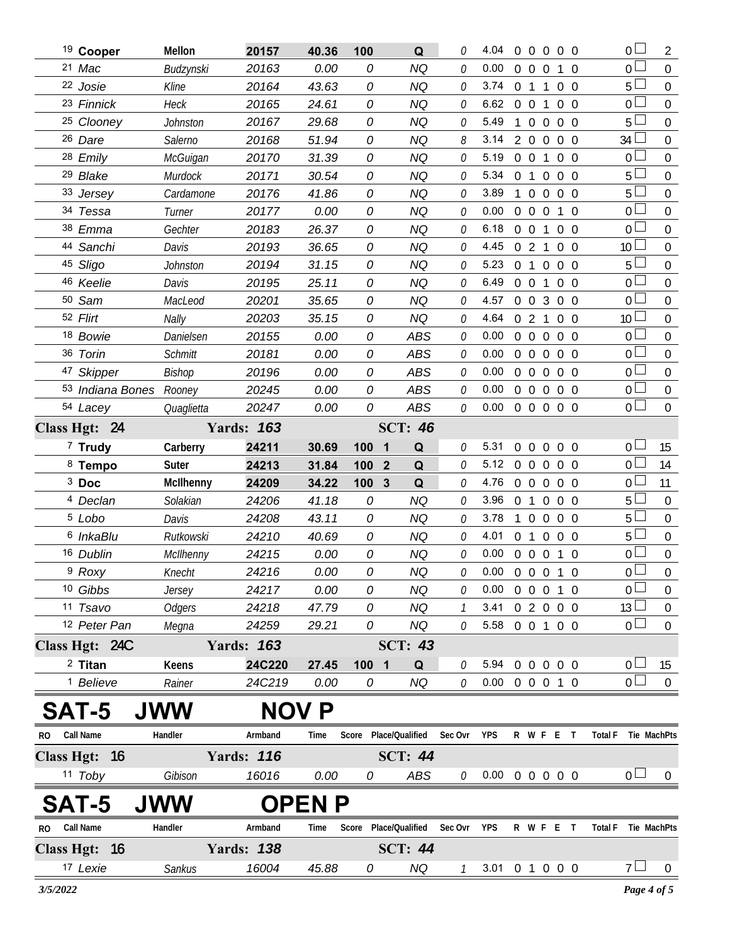|              | <sup>19</sup> Cooper       | Mellon          | 20157                      | 40.36         | 100                            | Q                                 | O             | 4.04                       | $\overline{0}$ |                | $0\quad 0\quad 0\quad 0$ |                |                |                     | 0 <sup>1</sup>  | $\overline{2}$   |
|--------------|----------------------------|-----------------|----------------------------|---------------|--------------------------------|-----------------------------------|---------------|----------------------------|----------------|----------------|--------------------------|----------------|----------------|---------------------|-----------------|------------------|
|              | 21 Mac                     | Budzynski       | 20163                      | 0.00          | 0                              | <b>NQ</b>                         | O             | 0.00                       | $\overline{0}$ | $\overline{0}$ | $\Omega$                 | 1 0            |                |                     | 0 l             | $\mathbf 0$      |
|              | 22 Josie                   | Kline           | 20164                      | 43.63         | 0                              | <b>NQ</b>                         | 0             | 3.74                       |                | 0 <sub>1</sub> | $\mathbf{1}$             | $0\quad 0$     |                |                     | 5 <sup>1</sup>  | $\overline{0}$   |
|              | 23 Finnick                 | <b>Heck</b>     | 20165                      | 24.61         | 0                              | NQ                                | 0             | 6.62                       | $0\quad 0$     |                | 1                        | $0\quad 0$     |                |                     | $\overline{0}$  | $\overline{0}$   |
|              | <sup>25</sup> Clooney      | Johnston        | 20167                      | 29.68         | 0                              | <b>NQ</b>                         | 0             | 5.49                       | 1              | $\overline{0}$ | $\overline{0}$           | $0\quad 0$     |                |                     | 5               | $\overline{0}$   |
|              | 26 Dare                    | Salerno         | 20168                      | 51.94         | 0                              | NQ                                | 8             | 3.14                       |                | 2 0 0          |                          | $0\quad 0$     |                |                     | 34              | $\overline{0}$   |
|              | 28 Emily                   | <b>McGuigan</b> | 20170                      | 31.39         | 0                              | <b>NQ</b>                         | 0             | 5.19                       |                | $0\quad 0$     | $\mathbf{1}$             | $0\quad 0$     |                |                     | $\overline{0}$  | $\overline{0}$   |
|              | <sup>29</sup> Blake        | Murdock         | 20171                      | 30.54         | 0                              | NQ                                | 0             | 5.34                       | $\overline{0}$ | $\overline{1}$ | $\mathbf 0$              | $0\quad 0$     |                |                     | 5               | $\overline{0}$   |
|              | 33 Jersey                  | Cardamone       | 20176                      | 41.86         | 0                              | <b>NQ</b>                         | 0             | 3.89                       | $\mathbf{1}$   | $\overline{0}$ | $\overline{0}$           | $0\quad 0$     |                |                     | 5               | $\overline{0}$   |
|              | 34 Tessa                   | Turner          | 20177                      | 0.00          | 0                              | <b>NQ</b>                         | 0             | 0.00                       | $\overline{0}$ | $\overline{0}$ | $\overline{0}$           | 1 0            |                |                     | $\overline{0}$  | $\mathbf 0$      |
|              | 38 Emma                    | Gechter         | 20183                      | 26.37         | 0                              | <b>NQ</b>                         | 0             | 6.18                       | $\overline{0}$ | $\overline{0}$ | $\mathbf{1}$             | $0\quad 0$     |                |                     | $\overline{0}$  | $\overline{0}$   |
|              | 44 Sanchi                  | Davis           | 20193                      | 36.65         | 0                              | <b>NQ</b>                         | O             | 4.45                       | $\mathbf{0}$   | $\overline{2}$ | $\mathbf{1}$             | $0\quad 0$     |                |                     | 10 <sup>°</sup> | $\overline{0}$   |
|              | 45 Sligo                   | Johnston        | 20194                      | 31.15         | 0                              | <b>NQ</b>                         | 0             | 5.23                       | $\overline{0}$ | $\overline{1}$ | $\overline{0}$           | $0\quad 0$     |                |                     | 5               | $\overline{0}$   |
|              | 46 Keelie                  | Davis           | 20195                      | 25.11         | 0                              | <b>NQ</b>                         | O             | 6.49                       | $0\quad 0$     |                | $\mathbf{1}$             | $0\quad 0$     |                |                     | $\overline{0}$  | $\mathbf 0$      |
|              | 50 Sam                     | MacLeod         | 20201                      | 35.65         | 0                              | <b>NQ</b>                         | 0             | 4.57                       | $\overline{0}$ | $\overline{0}$ | 3                        | $0\quad 0$     |                |                     | $\overline{0}$  | $\overline{0}$   |
|              | 52 Flirt                   | Nally           | 20203                      | 35.15         | 0                              | <b>NQ</b>                         | 0             | 4.64                       | $\overline{0}$ | $\overline{2}$ | $\mathbf{1}$             | $0\quad 0$     |                |                     | 10 <sup>°</sup> | $\overline{0}$   |
|              | 18 Bowie                   | Danielsen       | 20155                      | 0.00          | 0                              | <b>ABS</b>                        | 0             | 0.00                       | $\overline{0}$ | $\overline{0}$ | $\overline{0}$           | 0 <sub>0</sub> |                |                     | 0               | $\overline{0}$   |
|              | 36 Torin                   | <b>Schmitt</b>  | 20181                      | 0.00          | 0                              | <b>ABS</b>                        | 0             | 0.00                       | $\overline{0}$ | $\overline{0}$ | $\overline{0}$           | $0\quad 0$     |                |                     | $\overline{0}$  | $\mathbf 0$      |
|              | 47 Skipper                 | Bishop          | 20196                      | 0.00          | 0                              | <b>ABS</b>                        | 0             | 0.00                       | $\Omega$       | $\mathbf 0$    | $\Omega$                 | 0 <sub>0</sub> |                |                     | $\overline{0}$  | $\overline{0}$   |
|              | 53 Indiana Bones Rooney    |                 | 20245                      | 0.00          | 0                              | <b>ABS</b>                        | 0             | 0.00                       | $\Omega$       | $\overline{0}$ | $\overline{0}$           | $0\quad 0$     |                |                     | 0 <sub>0</sub>  | $\mathbf 0$      |
|              | 54 Lacey                   | Quaglietta      | 20247                      | 0.00          | 0                              | <b>ABS</b>                        | 0             | 0.00                       | $0\quad 0$     |                | $\overline{0}$           | $0\quad 0$     |                |                     | 0 <sub>0</sub>  | $\overline{0}$   |
|              | Class Hgt: 24              |                 | <b>Yards: 163</b>          |               |                                | <b>SCT: 46</b>                    |               |                            |                |                |                          |                |                |                     |                 |                  |
|              | $7$ Trudy                  | Carberry        | 24211                      | 30.69         | 100                            | Q<br>1                            | 0             | 5.31                       | $\overline{0}$ | $\overline{0}$ | $\overline{0}$           | $\Omega$       | - 0            |                     | $\overline{0}$  | 15               |
|              | 8 Tempo                    | Suter           | 24213                      | 31.84         | 100                            | $\overline{2}$<br>Q               | 0             | 5.12                       | $\overline{0}$ | $\overline{0}$ | $\overline{0}$           | $0\quad 0$     |                |                     | $\overline{0}$  | 14               |
|              | $3$ Doc                    | McIlhenny       | 24209                      | 34.22         | 100 <sub>3</sub>               | Q                                 | 0             | 4.76                       | $\overline{0}$ | $\overline{0}$ | $\overline{0}$           | $0\quad 0$     |                |                     | $\mathbf 0$     | 11               |
|              | <sup>4</sup> Declan        | Solakian        | 24206                      | 41.18         | 0                              | <b>NQ</b>                         | 0             | 3.96                       | 0 <sub>1</sub> |                | $\mathbf 0$              | $\overline{0}$ | $\overline{0}$ |                     | 5               | $\overline{0}$   |
|              | <sup>5</sup> Lobo          | Davis           | 24208                      | 43.11         | 0                              | <b>NQ</b>                         | 0             | 3.78                       |                | $\Omega$       | $\overline{0}$           | $0\quad 0$     |                |                     | 5               | $\mathbf 0$      |
|              | <sup>6</sup> InkaBlu       | Rutkowski       | 24210                      | 40.69         | 0                              | <b>NQ</b>                         | 0             | 4.01                       | $\overline{0}$ | $\overline{1}$ | $\mathbf 0$              | $0\quad 0$     |                |                     | 5               | $\overline{0}$   |
|              | 16 Dublin                  | McIlhenny       | 24215                      | 0.00          | 0                              | <b>NQ</b>                         | O             | 0.00                       |                | $0\quad 0$     | $\overline{0}$           | $1\quad$ 0     |                |                     | $\overline{0}$  | $\mathbf 0$      |
|              | <sup>9</sup> Roxy          | Knecht          | 24216                      | 0.00          | 0                              | NQ                                | 0             | $0.00 \t0 \t0 \t0 \t1 \t0$ |                |                |                          |                |                |                     | $\overline{0}$  | $\boldsymbol{0}$ |
|              | 10 Gibbs                   | Jersey          | 24217                      | 0.00          | 0                              | <b>NQ</b>                         | O             | 0.00                       |                |                | 0 0 0 1 0                |                |                |                     | $\overline{0}$  | $\mathbf 0$      |
|              | 11 Tsavo                   | <b>Odgers</b>   | 24218                      | 47.79         | 0                              | <b>NQ</b>                         | $\mathcal{I}$ | 3.41                       |                |                | 02000                    |                |                |                     | 13              | $\boldsymbol{0}$ |
|              | 12 Peter Pan               | Megna           | 24259                      | 29.21         | 0                              | <b>NQ</b>                         | 0             | 5.58 0 0 1 0 0             |                |                |                          |                |                |                     | 0 <sub>0</sub>  | $\mathbf 0$      |
|              | Class Hgt: 24C             |                 | <b>Yards: 163</b>          |               |                                | <b>SCT: 43</b>                    |               |                            |                |                |                          |                |                |                     |                 |                  |
|              | $2$ Titan                  | <b>Keens</b>    | 24C220                     | 27.45         | 100<br>$\overline{\mathbf{1}}$ | Q                                 | 0             | 5.94 0 0 0 0 0             |                |                |                          |                |                |                     | 0 <sub>1</sub>  | 15               |
|              | <sup>1</sup> Believe       | Rainer          | 24C219                     | 0.00          | 0                              | <b>NQ</b>                         | 0             | $0.00 \t0 \t0 \t0 \t1 \t0$ |                |                |                          |                |                |                     | $\overline{0}$  | $\mathbf 0$      |
|              | SAT-5                      | <b>JWW</b>      | <b>NOV P</b>               |               |                                |                                   |               |                            |                |                |                          |                |                |                     |                 |                  |
| RO Call Name |                            | Handler         | Armband                    | Time          |                                | Score Place/Qualified             | Sec Ovr YPS   |                            |                |                |                          |                | R W F E T      | Total F             | Tie MachPts     |                  |
|              |                            |                 |                            |               |                                | <b>SCT: 44</b>                    |               |                            |                |                |                          |                |                |                     |                 |                  |
|              | Class Hgt: 16<br>$11$ Toby | Gibison         | <b>Yards: 116</b><br>16016 | 0.00          |                                | ABS                               | 0             | 0.00 0 0 0 0 0             |                |                |                          |                |                |                     | 0 <sub>l</sub>  |                  |
|              |                            |                 |                            |               | 0                              |                                   |               |                            |                |                |                          |                |                |                     |                 | $\theta$         |
|              | SAT-5                      | <b>JWW</b>      |                            | <b>OPEN P</b> |                                |                                   |               |                            |                |                |                          |                |                |                     |                 |                  |
| RO Call Name |                            | Handler         | Armband                    | Time          |                                | Score Place/Qualified Sec Ovr YPS |               |                            |                |                |                          |                | R W F E T      | Total F Tie MachPts |                 |                  |
|              | Class Hgt: 16              |                 | <b>Yards: 138</b>          |               |                                | <b>SCT: 44</b>                    |               |                            |                |                |                          |                |                |                     |                 |                  |
|              | 17 Lexie                   | Sankus          | 16004                      | 45.88         | 0                              | NQ                                | $\mathcal{I}$ | 3.01 0 1 0 0 0             |                |                |                          |                |                |                     | $7\perp$        | $\mathbf{0}$     |